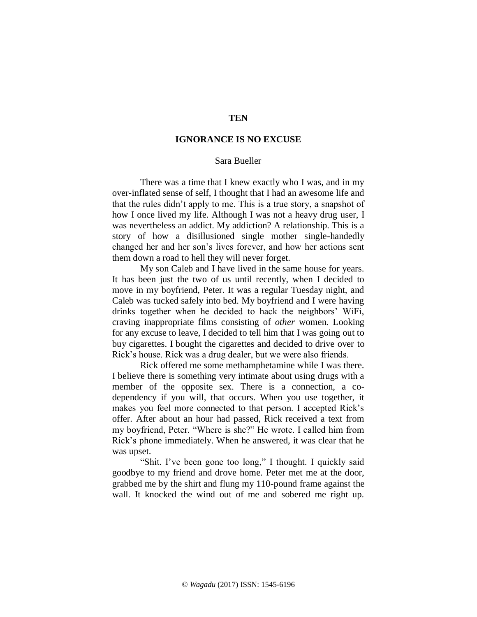## **TEN**

## **IGNORANCE IS NO EXCUSE**

## Sara Bueller

There was a time that I knew exactly who I was, and in my over-inflated sense of self, I thought that I had an awesome life and that the rules didn't apply to me. This is a true story, a snapshot of how I once lived my life. Although I was not a heavy drug user, I was nevertheless an addict. My addiction? A relationship. This is a story of how a disillusioned single mother single-handedly changed her and her son's lives forever, and how her actions sent them down a road to hell they will never forget.

My son Caleb and I have lived in the same house for years. It has been just the two of us until recently, when I decided to move in my boyfriend, Peter. It was a regular Tuesday night, and Caleb was tucked safely into bed. My boyfriend and I were having drinks together when he decided to hack the neighbors' WiFi, craving inappropriate films consisting of *other* women. Looking for any excuse to leave, I decided to tell him that I was going out to buy cigarettes. I bought the cigarettes and decided to drive over to Rick's house. Rick was a drug dealer, but we were also friends.

Rick offered me some methamphetamine while I was there. I believe there is something very intimate about using drugs with a member of the opposite sex. There is a connection, a codependency if you will, that occurs. When you use together, it makes you feel more connected to that person. I accepted Rick's offer. After about an hour had passed, Rick received a text from my boyfriend, Peter. "Where is she?" He wrote. I called him from Rick's phone immediately. When he answered, it was clear that he was upset.

"Shit. I've been gone too long," I thought. I quickly said goodbye to my friend and drove home. Peter met me at the door, grabbed me by the shirt and flung my 110-pound frame against the wall. It knocked the wind out of me and sobered me right up.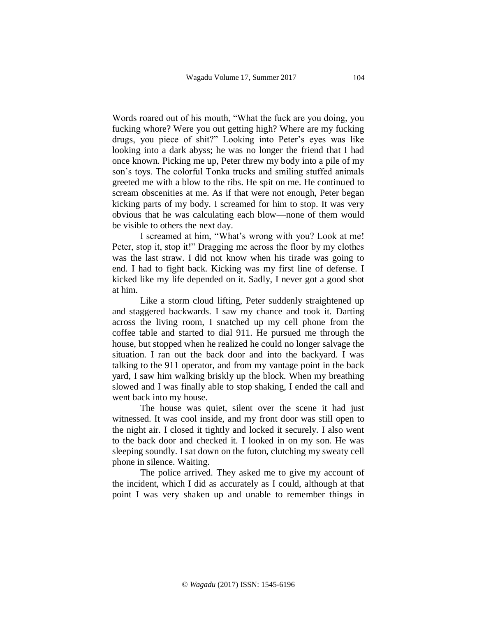Words roared out of his mouth, "What the fuck are you doing, you fucking whore? Were you out getting high? Where are my fucking drugs, you piece of shit?" Looking into Peter's eyes was like looking into a dark abyss; he was no longer the friend that I had once known. Picking me up, Peter threw my body into a pile of my son's toys. The colorful Tonka trucks and smiling stuffed animals greeted me with a blow to the ribs. He spit on me. He continued to scream obscenities at me. As if that were not enough, Peter began kicking parts of my body. I screamed for him to stop. It was very obvious that he was calculating each blow—none of them would be visible to others the next day.

I screamed at him, "What's wrong with you? Look at me! Peter, stop it, stop it!" Dragging me across the floor by my clothes was the last straw. I did not know when his tirade was going to end. I had to fight back. Kicking was my first line of defense. I kicked like my life depended on it. Sadly, I never got a good shot at him.

Like a storm cloud lifting, Peter suddenly straightened up and staggered backwards. I saw my chance and took it. Darting across the living room, I snatched up my cell phone from the coffee table and started to dial 911. He pursued me through the house, but stopped when he realized he could no longer salvage the situation. I ran out the back door and into the backyard. I was talking to the 911 operator, and from my vantage point in the back yard, I saw him walking briskly up the block. When my breathing slowed and I was finally able to stop shaking, I ended the call and went back into my house.

The house was quiet, silent over the scene it had just witnessed. It was cool inside, and my front door was still open to the night air. I closed it tightly and locked it securely. I also went to the back door and checked it. I looked in on my son. He was sleeping soundly. I sat down on the futon, clutching my sweaty cell phone in silence. Waiting.

The police arrived. They asked me to give my account of the incident, which I did as accurately as I could, although at that point I was very shaken up and unable to remember things in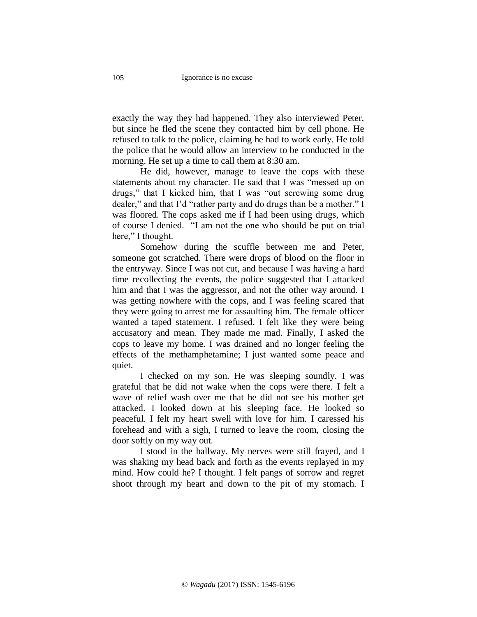exactly the way they had happened. They also interviewed Peter, but since he fled the scene they contacted him by cell phone. He refused to talk to the police, claiming he had to work early. He told the police that he would allow an interview to be conducted in the morning. He set up a time to call them at 8:30 am.

He did, however, manage to leave the cops with these statements about my character. He said that I was "messed up on drugs," that I kicked him, that I was "out screwing some drug dealer," and that I'd "rather party and do drugs than be a mother." I was floored. The cops asked me if I had been using drugs, which of course I denied. "I am not the one who should be put on trial here," I thought.

Somehow during the scuffle between me and Peter, someone got scratched. There were drops of blood on the floor in the entryway. Since I was not cut, and because I was having a hard time recollecting the events, the police suggested that I attacked him and that I was the aggressor, and not the other way around. I was getting nowhere with the cops, and I was feeling scared that they were going to arrest me for assaulting him. The female officer wanted a taped statement. I refused. I felt like they were being accusatory and mean. They made me mad. Finally, I asked the cops to leave my home. I was drained and no longer feeling the effects of the methamphetamine; I just wanted some peace and quiet.

I checked on my son. He was sleeping soundly. I was grateful that he did not wake when the cops were there. I felt a wave of relief wash over me that he did not see his mother get attacked. I looked down at his sleeping face. He looked so peaceful. I felt my heart swell with love for him. I caressed his forehead and with a sigh, I turned to leave the room, closing the door softly on my way out.

I stood in the hallway. My nerves were still frayed, and I was shaking my head back and forth as the events replayed in my mind. How could he? I thought. I felt pangs of sorrow and regret shoot through my heart and down to the pit of my stomach. I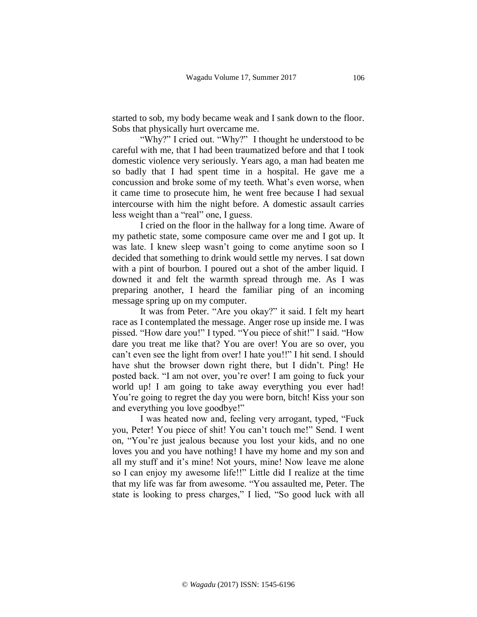started to sob, my body became weak and I sank down to the floor. Sobs that physically hurt overcame me.

"Why?" I cried out. "Why?" I thought he understood to be careful with me, that I had been traumatized before and that I took domestic violence very seriously. Years ago, a man had beaten me so badly that I had spent time in a hospital. He gave me a concussion and broke some of my teeth. What's even worse, when it came time to prosecute him, he went free because I had sexual intercourse with him the night before. A domestic assault carries less weight than a "real" one, I guess.

I cried on the floor in the hallway for a long time. Aware of my pathetic state, some composure came over me and I got up. It was late. I knew sleep wasn't going to come anytime soon so I decided that something to drink would settle my nerves. I sat down with a pint of bourbon. I poured out a shot of the amber liquid. I downed it and felt the warmth spread through me. As I was preparing another, I heard the familiar ping of an incoming message spring up on my computer.

It was from Peter. "Are you okay?" it said. I felt my heart race as I contemplated the message. Anger rose up inside me. I was pissed. "How dare you!" I typed. "You piece of shit!" I said. "How dare you treat me like that? You are over! You are so over, you can't even see the light from over! I hate you!!" I hit send. I should have shut the browser down right there, but I didn't. Ping! He posted back. "I am not over, you're over! I am going to fuck your world up! I am going to take away everything you ever had! You're going to regret the day you were born, bitch! Kiss your son and everything you love goodbye!"

I was heated now and, feeling very arrogant, typed, "Fuck you, Peter! You piece of shit! You can't touch me!" Send. I went on, "You're just jealous because you lost your kids, and no one loves you and you have nothing! I have my home and my son and all my stuff and it's mine! Not yours, mine! Now leave me alone so I can enjoy my awesome life!!" Little did I realize at the time that my life was far from awesome. "You assaulted me, Peter. The state is looking to press charges," I lied, "So good luck with all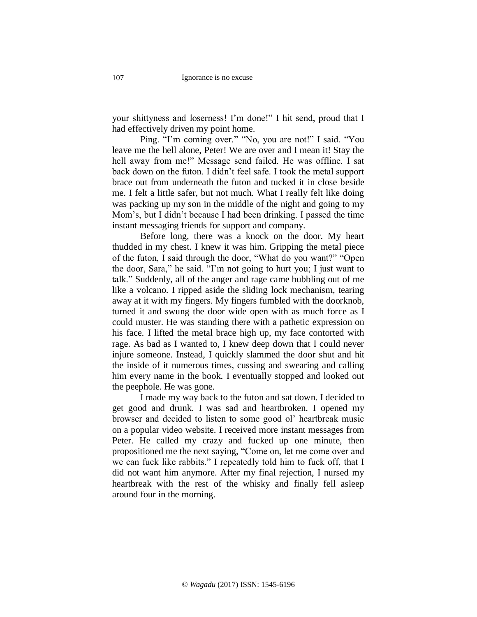your shittyness and loserness! I'm done!" I hit send, proud that I had effectively driven my point home.

Ping. "I'm coming over." "No, you are not!" I said. "You leave me the hell alone, Peter! We are over and I mean it! Stay the hell away from me!" Message send failed. He was offline. I sat back down on the futon. I didn't feel safe. I took the metal support brace out from underneath the futon and tucked it in close beside me. I felt a little safer, but not much. What I really felt like doing was packing up my son in the middle of the night and going to my Mom's, but I didn't because I had been drinking. I passed the time instant messaging friends for support and company.

Before long, there was a knock on the door. My heart thudded in my chest. I knew it was him. Gripping the metal piece of the futon, I said through the door, "What do you want?" "Open the door, Sara," he said. "I'm not going to hurt you; I just want to talk." Suddenly, all of the anger and rage came bubbling out of me like a volcano. I ripped aside the sliding lock mechanism, tearing away at it with my fingers. My fingers fumbled with the doorknob, turned it and swung the door wide open with as much force as I could muster. He was standing there with a pathetic expression on his face. I lifted the metal brace high up, my face contorted with rage. As bad as I wanted to, I knew deep down that I could never injure someone. Instead, I quickly slammed the door shut and hit the inside of it numerous times, cussing and swearing and calling him every name in the book. I eventually stopped and looked out the peephole. He was gone.

I made my way back to the futon and sat down. I decided to get good and drunk. I was sad and heartbroken. I opened my browser and decided to listen to some good ol' heartbreak music on a popular video website. I received more instant messages from Peter. He called my crazy and fucked up one minute, then propositioned me the next saying, "Come on, let me come over and we can fuck like rabbits." I repeatedly told him to fuck off, that I did not want him anymore. After my final rejection, I nursed my heartbreak with the rest of the whisky and finally fell asleep around four in the morning.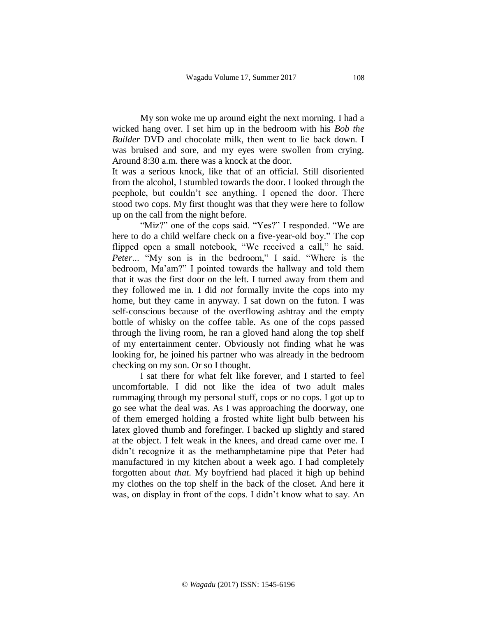My son woke me up around eight the next morning. I had a wicked hang over. I set him up in the bedroom with his *Bob the Builder* DVD and chocolate milk, then went to lie back down. I was bruised and sore, and my eyes were swollen from crying. Around 8:30 a.m. there was a knock at the door.

It was a serious knock, like that of an official. Still disoriented from the alcohol, I stumbled towards the door. I looked through the peephole, but couldn't see anything. I opened the door. There stood two cops. My first thought was that they were here to follow up on the call from the night before.

"Miz?" one of the cops said. "Yes?" I responded. "We are here to do a child welfare check on a five-year-old boy." The cop flipped open a small notebook, "We received a call," he said. *Peter*... "My son is in the bedroom," I said. "Where is the bedroom, Ma'am?" I pointed towards the hallway and told them that it was the first door on the left. I turned away from them and they followed me in. I did *not* formally invite the cops into my home, but they came in anyway. I sat down on the futon. I was self-conscious because of the overflowing ashtray and the empty bottle of whisky on the coffee table. As one of the cops passed through the living room, he ran a gloved hand along the top shelf of my entertainment center. Obviously not finding what he was looking for, he joined his partner who was already in the bedroom checking on my son. Or so I thought.

I sat there for what felt like forever, and I started to feel uncomfortable. I did not like the idea of two adult males rummaging through my personal stuff, cops or no cops. I got up to go see what the deal was. As I was approaching the doorway, one of them emerged holding a frosted white light bulb between his latex gloved thumb and forefinger. I backed up slightly and stared at the object. I felt weak in the knees, and dread came over me. I didn't recognize it as the methamphetamine pipe that Peter had manufactured in my kitchen about a week ago. I had completely forgotten about *that*. My boyfriend had placed it high up behind my clothes on the top shelf in the back of the closet. And here it was, on display in front of the cops. I didn't know what to say. An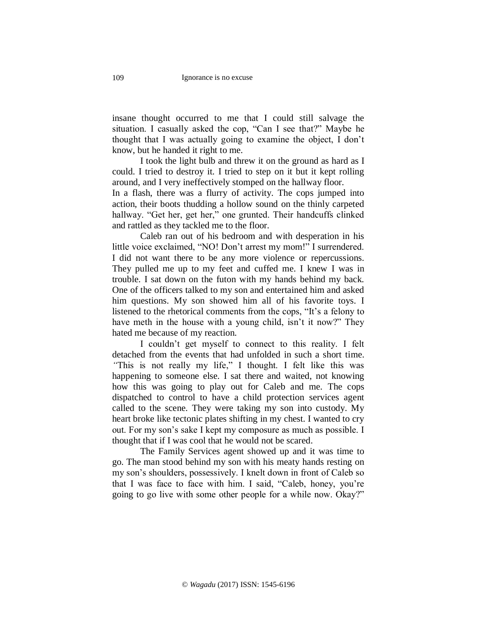insane thought occurred to me that I could still salvage the situation. I casually asked the cop, "Can I see that?" Maybe he thought that I was actually going to examine the object, I don't know, but he handed it right to me.

I took the light bulb and threw it on the ground as hard as I could. I tried to destroy it. I tried to step on it but it kept rolling around, and I very ineffectively stomped on the hallway floor.

In a flash, there was a flurry of activity. The cops jumped into action, their boots thudding a hollow sound on the thinly carpeted hallway. "Get her, get her," one grunted. Their handcuffs clinked and rattled as they tackled me to the floor.

Caleb ran out of his bedroom and with desperation in his little voice exclaimed, "NO! Don't arrest my mom!" I surrendered. I did not want there to be any more violence or repercussions. They pulled me up to my feet and cuffed me. I knew I was in trouble. I sat down on the futon with my hands behind my back. One of the officers talked to my son and entertained him and asked him questions. My son showed him all of his favorite toys. I listened to the rhetorical comments from the cops, "It's a felony to have meth in the house with a young child, isn't it now?" They hated me because of my reaction.

I couldn't get myself to connect to this reality. I felt detached from the events that had unfolded in such a short time. *"*This is not really my life," I thought. I felt like this was happening to someone else. I sat there and waited, not knowing how this was going to play out for Caleb and me. The cops dispatched to control to have a child protection services agent called to the scene. They were taking my son into custody. My heart broke like tectonic plates shifting in my chest. I wanted to cry out. For my son's sake I kept my composure as much as possible. I thought that if I was cool that he would not be scared.

The Family Services agent showed up and it was time to go. The man stood behind my son with his meaty hands resting on my son's shoulders, possessively. I knelt down in front of Caleb so that I was face to face with him. I said, "Caleb, honey, you're going to go live with some other people for a while now. Okay?"

109